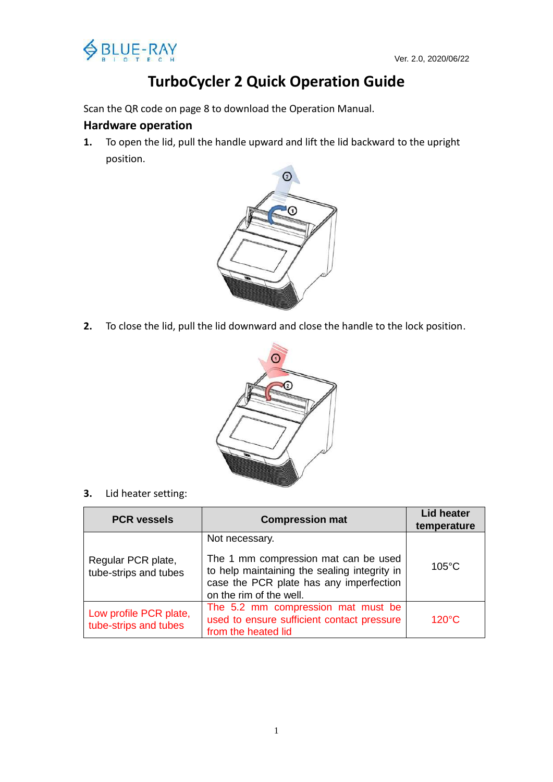

# **TurboCycler 2 Quick Operation Guide**

Scan the QR code on page 8 to download the Operation Manual.

#### **Hardware operation**

**1.** To open the lid, pull the handle upward and lift the lid backward to the upright position.



**2.** To close the lid, pull the lid downward and close the handle to the lock position.



**3.** Lid heater setting:

| <b>PCR vessels</b>                                                                                                                                         | <b>Compression mat</b>                                                                                                                                                       | <b>Lid heater</b><br>temperature |
|------------------------------------------------------------------------------------------------------------------------------------------------------------|------------------------------------------------------------------------------------------------------------------------------------------------------------------------------|----------------------------------|
| Regular PCR plate,<br>tube-strips and tubes                                                                                                                | Not necessary.<br>The 1 mm compression mat can be used<br>to help maintaining the sealing integrity in<br>case the PCR plate has any imperfection<br>on the rim of the well. | $105^{\circ}$ C                  |
| The 5.2 mm compression mat must be<br>Low profile PCR plate,<br>used to ensure sufficient contact pressure<br>tube-strips and tubes<br>from the heated lid |                                                                                                                                                                              | $120^{\circ}$ C                  |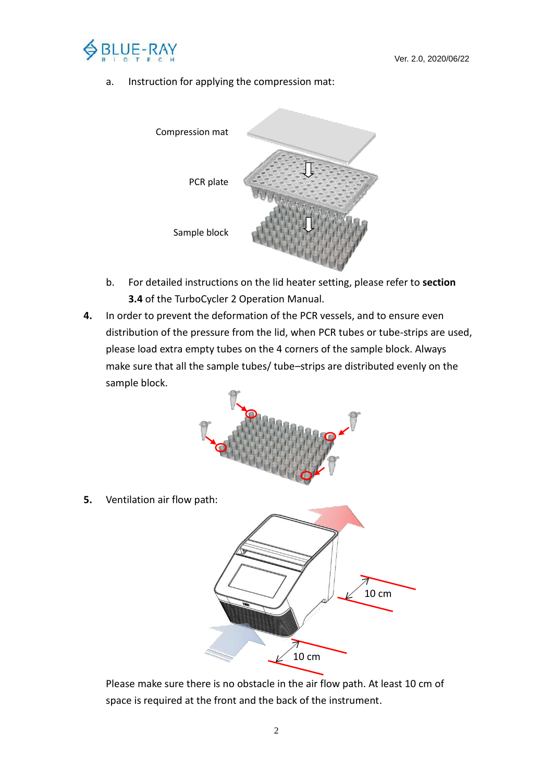

a. Instruction for applying the compression mat:



- b. For detailed instructions on the lid heater setting, please refer to **section 3.4** of the TurboCycler 2 Operation Manual.
- **4.** In order to prevent the deformation of the PCR vessels, and to ensure even distribution of the pressure from the lid, when PCR tubes or tube-strips are used, please load extra empty tubes on the 4 corners of the sample block. Always make sure that all the sample tubes/ tube–strips are distributed evenly on the sample block.



**5.** Ventilation air flow path:



Please make sure there is no obstacle in the air flow path. At least 10 cm of space is required at the front and the back of the instrument.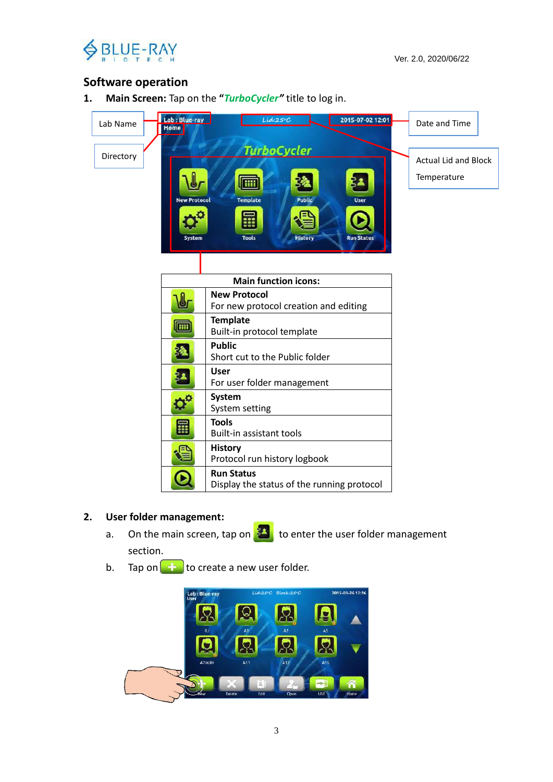

## **Software operation**

**1. Main Screen:** Tap on the **"***TurboCycler"* title to log in.



#### **2. User folder management:**

- a. On the main screen, tap on  $\frac{34}{5}$  to enter the user folder management section.
- b. Tap on  $\left(\begin{array}{c} \pm \\ \pm \end{array}\right)$  to create a new user folder.

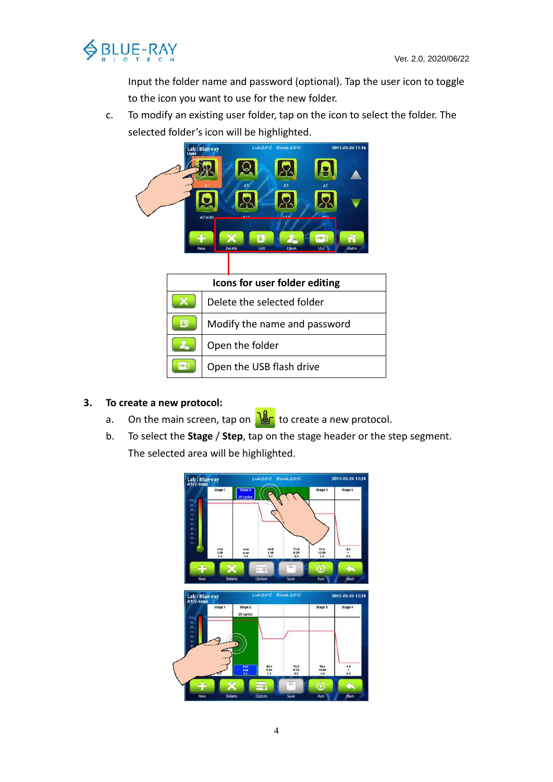

Input the folder name and password (optional). Tap the user icon to toggle to the icon you want to use for the new folder.

c. To modify an existing user folder, tap on the icon to select the folder. The selected folder's icon will be highlighted.



#### **3. To create a new protocol:**

- a. On the main screen, tap on  $\frac{1}{\sqrt{1-\frac{1}{n}}}$  to create a new protocol.
- b. To select the **Stage** / **Step**, tap on the stage header or the step segment. The selected area will be highlighted.

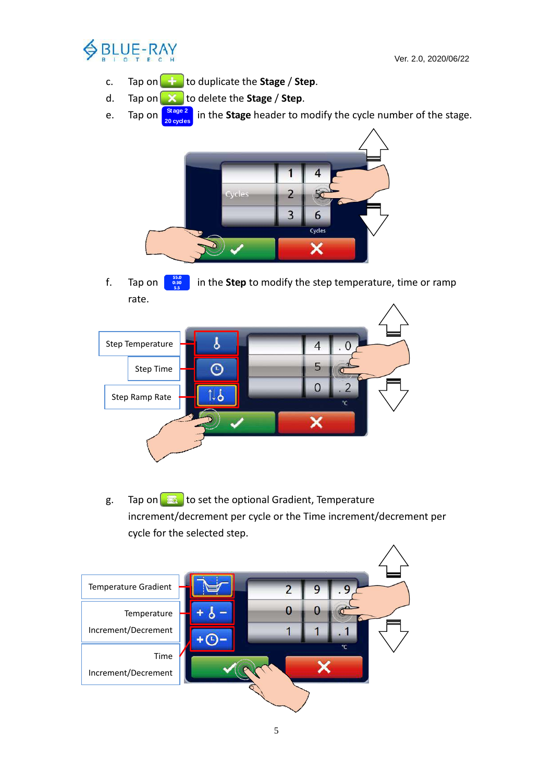

- c. Tap on  $\left( \frac{1}{\epsilon} \right)$  to duplicate the **Stage** / **Step**.
- d. Tap on to delete the **Stage** / **Step**.
- e. Tap on  $\left[\frac{\text{Stage 2}}{\text{Answer 2}}\right]$  in the **Stage** header to modify the cycle number of the stage. **20 cycles**



f. Tap on  $\begin{bmatrix} \frac{55.0}{9.8} \\ \frac{1}{2.8} \end{bmatrix}$  in the **Step** to modify the step temperature, time or ramp rate.



g. Tap on  $\left[\begin{array}{c} 1 \ \hline \end{array}\right]$  to set the optional Gradient, Temperature increment/decrement per cycle or the Time increment/decrement per cycle for the selected step.

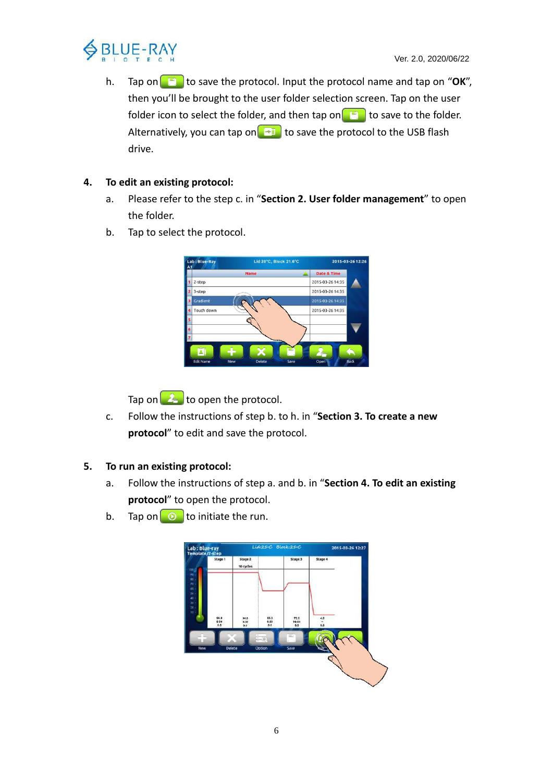

h. Tap on **the same the protocol.** Input the protocol name and tap on "OK", then you'll be brought to the user folder selection screen. Tap on the user folder icon to select the folder, and then tap on  $\Box$  to save to the folder. Alternatively, you can tap on  $\mathbb{R}^n$  to save the protocol to the USB flash drive.

#### **4. To edit an existing protocol:**

- a. Please refer to the step c. in "**Section 2. User folder management**" to open the folder.
- b. Tap to select the protocol.



Tap on  $\Box$  to open the protocol.

c. Follow the instructions of step b. to h. in "**Section 3. To create a new protocol**" to edit and save the protocol.

#### **5. To run an existing protocol:**

- a. Follow the instructions of step a. and b. in "**Section 4. To edit an existing protocol**" to open the protocol.
- b. Tap on  $\circledcirc$  to initiate the run.

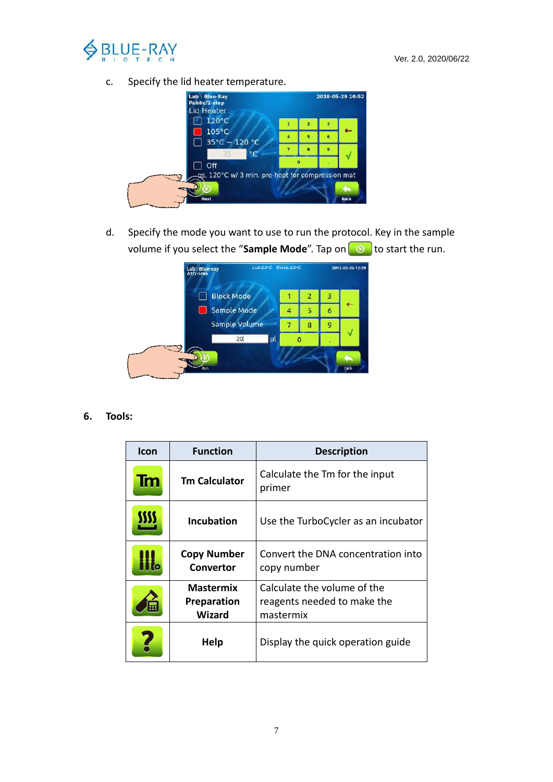

c. Specify the lid heater temperature.



d. Specify the mode you want to use to run the protocol. Key in the sample volume if you select the "Sample Mode". Tap on **O** to start the run.



**6. Tools:**

| <b>Icon</b> | <b>Function</b>                                  | <b>Description</b>                                                      |
|-------------|--------------------------------------------------|-------------------------------------------------------------------------|
| Tm          | <b>Tm Calculator</b>                             | Calculate the Tm for the input<br>primer                                |
| m           | <b>Incubation</b>                                | Use the TurboCycler as an incubator                                     |
|             | <b>Copy Number</b><br>Convertor                  | Convert the DNA concentration into<br>copy number                       |
|             | <b>Mastermix</b><br><b>Preparation</b><br>Wizard | Calculate the volume of the<br>reagents needed to make the<br>mastermix |
|             | Help                                             | Display the quick operation guide                                       |